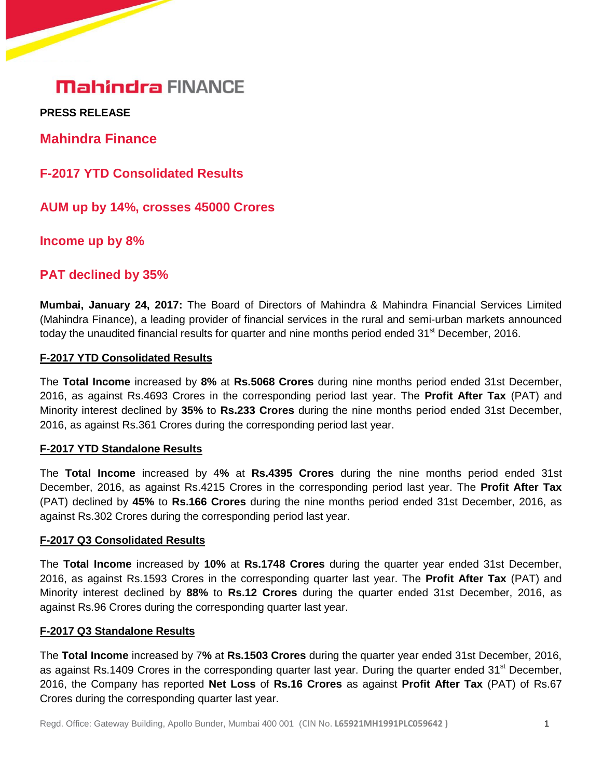**PRESS RELEASE** 

**Mahindra Finance**

**F-2017 YTD Consolidated Results**

**AUM up by 14%, crosses 45000 Crores**

**Income up by 8%**

# **PAT declined by 35%**

**Mumbai, January 24, 2017:** The Board of Directors of Mahindra & Mahindra Financial Services Limited (Mahindra Finance), a leading provider of financial services in the rural and semi-urban markets announced today the unaudited financial results for quarter and nine months period ended 31<sup>st</sup> December, 2016.

#### **F-2017 YTD Consolidated Results**

The **Total Income** increased by **8%** at **Rs.5068 Crores** during nine months period ended 31st December, 2016, as against Rs.4693 Crores in the corresponding period last year. The **Profit After Tax** (PAT) and Minority interest declined by **35%** to **Rs.233 Crores** during the nine months period ended 31st December, 2016, as against Rs.361 Crores during the corresponding period last year.

### **F-2017 YTD Standalone Results**

The **Total Income** increased by 4**%** at **Rs.4395 Crores** during the nine months period ended 31st December, 2016, as against Rs.4215 Crores in the corresponding period last year. The **Profit After Tax**  (PAT) declined by **45%** to **Rs.166 Crores** during the nine months period ended 31st December, 2016, as against Rs.302 Crores during the corresponding period last year.

#### **F-2017 Q3 Consolidated Results**

The **Total Income** increased by **10%** at **Rs.1748 Crores** during the quarter year ended 31st December, 2016, as against Rs.1593 Crores in the corresponding quarter last year. The **Profit After Tax** (PAT) and Minority interest declined by **88%** to **Rs.12 Crores** during the quarter ended 31st December, 2016, as against Rs.96 Crores during the corresponding quarter last year.

#### **F-2017 Q3 Standalone Results**

The **Total Income** increased by 7**%** at **Rs.1503 Crores** during the quarter year ended 31st December, 2016, as against Rs.1409 Crores in the corresponding quarter last year. During the quarter ended  $31<sup>st</sup>$  December, 2016, the Company has reported **Net Loss** of **Rs.16 Crores** as against **Profit After Tax** (PAT) of Rs.67 Crores during the corresponding quarter last year.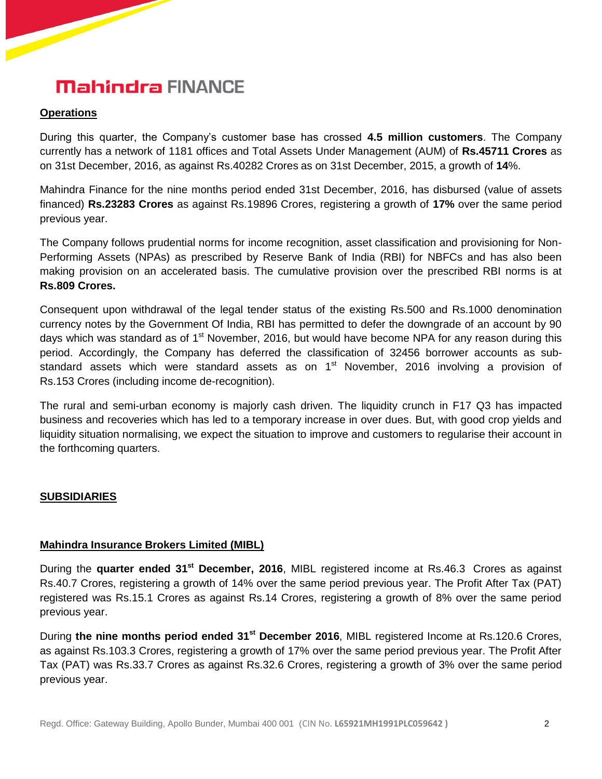## **Operations**

During this quarter, the Company's customer base has crossed **4.5 million customers**. The Company currently has a network of 1181 offices and Total Assets Under Management (AUM) of **Rs.45711 Crores** as on 31st December, 2016, as against Rs.40282 Crores as on 31st December, 2015, a growth of **14**%.

Mahindra Finance for the nine months period ended 31st December, 2016, has disbursed (value of assets financed) **Rs.23283 Crores** as against Rs.19896 Crores, registering a growth of **17%** over the same period previous year.

The Company follows prudential norms for income recognition, asset classification and provisioning for Non-Performing Assets (NPAs) as prescribed by Reserve Bank of India (RBI) for NBFCs and has also been making provision on an accelerated basis. The cumulative provision over the prescribed RBI norms is at **Rs.809 Crores.**

Consequent upon withdrawal of the legal tender status of the existing Rs.500 and Rs.1000 denomination currency notes by the Government Of India, RBI has permitted to defer the downgrade of an account by 90 days which was standard as of 1<sup>st</sup> November, 2016, but would have become NPA for any reason during this period. Accordingly, the Company has deferred the classification of 32456 borrower accounts as substandard assets which were standard assets as on 1<sup>st</sup> November, 2016 involving a provision of Rs.153 Crores (including income de-recognition).

The rural and semi-urban economy is majorly cash driven. The liquidity crunch in F17 Q3 has impacted business and recoveries which has led to a temporary increase in over dues. But, with good crop yields and liquidity situation normalising, we expect the situation to improve and customers to regularise their account in the forthcoming quarters.

### **SUBSIDIARIES**

### **Mahindra Insurance Brokers Limited (MIBL)**

During the **quarter ended 31st December, 2016**, MIBL registered income at Rs.46.3 Crores as against Rs.40.7 Crores, registering a growth of 14% over the same period previous year. The Profit After Tax (PAT) registered was Rs.15.1 Crores as against Rs.14 Crores, registering a growth of 8% over the same period previous year.

During **the nine months period ended 31st December 2016**, MIBL registered Income at Rs.120.6 Crores, as against Rs.103.3 Crores, registering a growth of 17% over the same period previous year. The Profit After Tax (PAT) was Rs.33.7 Crores as against Rs.32.6 Crores, registering a growth of 3% over the same period previous year.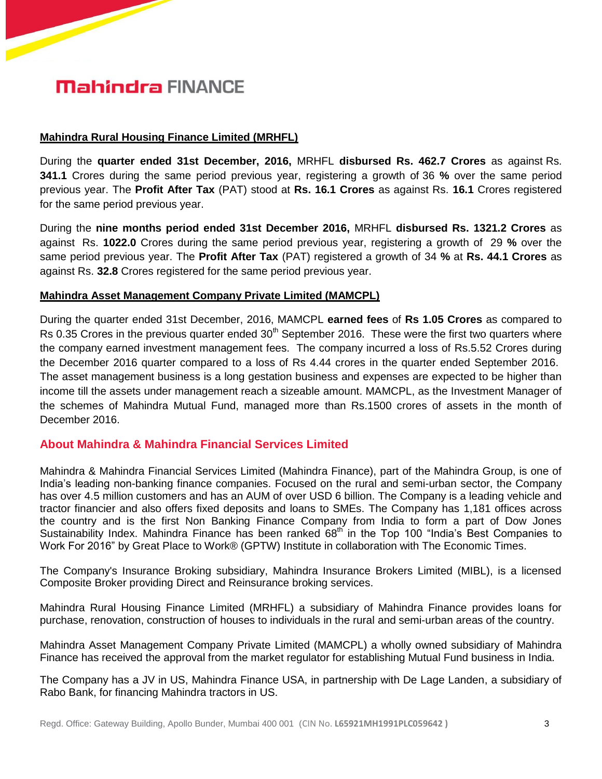#### **Mahindra Rural Housing Finance Limited (MRHFL)**

During the **quarter ended 31st December, 2016,** MRHFL **disbursed Rs. 462.7 Crores** as against Rs. **341.1** Crores during the same period previous year, registering a growth of 36 **%** over the same period previous year. The **Profit After Tax** (PAT) stood at **Rs. 16.1 Crores** as against Rs. **16.1** Crores registered for the same period previous year.

During the **nine months period ended 31st December 2016,** MRHFL **disbursed Rs. 1321.2 Crores** as against Rs. **1022.0** Crores during the same period previous year, registering a growth of 29 **%** over the same period previous year. The **Profit After Tax** (PAT) registered a growth of 34 **%** at **Rs. 44.1 Crores** as against Rs. **32.8** Crores registered for the same period previous year.

#### **Mahindra Asset Management Company Private Limited (MAMCPL)**

During the quarter ended 31st December, 2016, MAMCPL **earned fees** of **Rs 1.05 Crores** as compared to Rs 0.35 Crores in the previous quarter ended  $30<sup>th</sup>$  September 2016. These were the first two quarters where the company earned investment management fees. The company incurred a loss of Rs.5.52 Crores during the December 2016 quarter compared to a loss of Rs 4.44 crores in the quarter ended September 2016. The asset management business is a long gestation business and expenses are expected to be higher than income till the assets under management reach a sizeable amount. MAMCPL, as the Investment Manager of the schemes of Mahindra Mutual Fund, managed more than Rs.1500 crores of assets in the month of December 2016.

### **About Mahindra & Mahindra Financial Services Limited**

Mahindra & Mahindra Financial Services Limited (Mahindra Finance), part of the Mahindra Group, is one of India's leading non-banking finance companies. Focused on the rural and semi-urban sector, the Company has over 4.5 million customers and has an AUM of over USD 6 billion. The Company is a leading vehicle and tractor financier and also offers fixed deposits and loans to SMEs. The Company has 1,181 offices across the country and is the first Non Banking Finance Company from India to form a part of Dow Jones Sustainability Index. Mahindra Finance has been ranked  $68<sup>th</sup>$  in the Top 100 "India's Best Companies to Work For 2016" by Great Place to Work® (GPTW) Institute in collaboration with The Economic Times.

The Company's Insurance Broking subsidiary, Mahindra Insurance Brokers Limited (MIBL), is a licensed Composite Broker providing Direct and Reinsurance broking services.

Mahindra Rural Housing Finance Limited (MRHFL) a subsidiary of Mahindra Finance provides loans for purchase, renovation, construction of houses to individuals in the rural and semi-urban areas of the country.

Mahindra Asset Management Company Private Limited (MAMCPL) a wholly owned subsidiary of Mahindra Finance has received the approval from the market regulator for establishing Mutual Fund business in India.

The Company has a JV in US, Mahindra Finance USA, in partnership with De Lage Landen, a subsidiary of Rabo Bank, for financing Mahindra tractors in US.